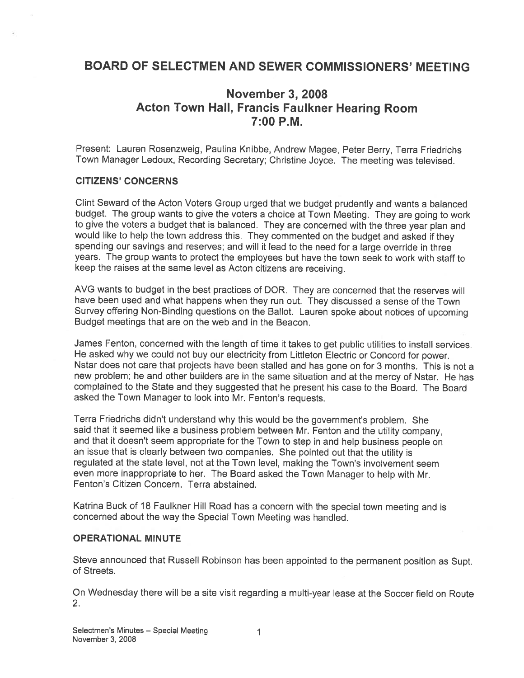# BOARD OF SELECTMEN AND SEWER COMMISSIONERS' MEETING

# November 3, 2008 Acton Town Hall, Francis Faulkner Hearing Room 7:00 P.M.

Present: Lauren Rosenzweig, Paulina Knibbe, Andrew Magee, Peter Berry, Terra Friedrichs Town Manager Ledoux, Recording Secretary; Christine Joyce. The meeting was televised.

#### CITIZENS' CONCERNS

Clint Seward of the Acton Voters Group urge<sup>d</sup> that we budget prudently and wants <sup>a</sup> balanced budget. The group wants to <sup>g</sup>ive the voters <sup>a</sup> choice at Town Meeting. They are going to work to <sup>g</sup>ive the voters <sup>a</sup> budget that is balanced. They are concerned with the three year <sup>p</sup>lan and would like to help the town address this, They commented on the budget and asked if they spending our savings and reserves; and will it lead to the need for <sup>a</sup> large override in three years. The group wants to protect the employees but have the town seek to work with staff to keep the raises at the same level as Acton citizens are receiving.

AVG wants to budget in the best practices of DOR. They are concerned that the reserves will have been used and what happens when they run out. They discussed <sup>a</sup> sense of the Town Survey offering Non-Binding questions on the Ballot. Lauren spoke about notices of upcoming Budget meetings that are on the web and in the Beacon.

James Fenton, concerned with the length of time it takes to ge<sup>t</sup> public utilities to install services. He asked why we could not buy our electricity from Littleton Electric or Concord for power. Nstar does not care that projects have been stalled and has gone on for <sup>3</sup> months. This is not <sup>a</sup> new problem; he and other builders are in the same situation and at the mercy of Nstar. He has complained to the State and they suggested that he presen<sup>t</sup> his case to the Board. The Board asked the Town Manager to look into Mr. Fenton's requests.

Terra Friedrichs didn't understand why this would be the government's problem. She said that it seemed like <sup>a</sup> business problem between Mr. Fenton and the utility company, and that it doesn't seem appropriate for the Town to step in and help business people on an issue that is clearly between two companies. She pointed out that the utility is regulated at the state level, not at the Town level, making the Town's involvement seem even more inappropriate to her. The Board asked the Town Manager to help with Mr. Fenton's Citizen Concern, Terra abstained.

Katrina Buck of <sup>18</sup> Faulkner Hill Road has <sup>a</sup> concern with the special town meeting and is concerned about the way the Special Town Meeting was handled.

#### OPERATIONAL MINUTE

Steve announced that Russell Robinson has been appointed to the permanen<sup>t</sup> position as Supt. of Streets.

On Wednesday there will be <sup>a</sup> site visit regarding <sup>a</sup> multi-year lease at the Soccer field on Route 2.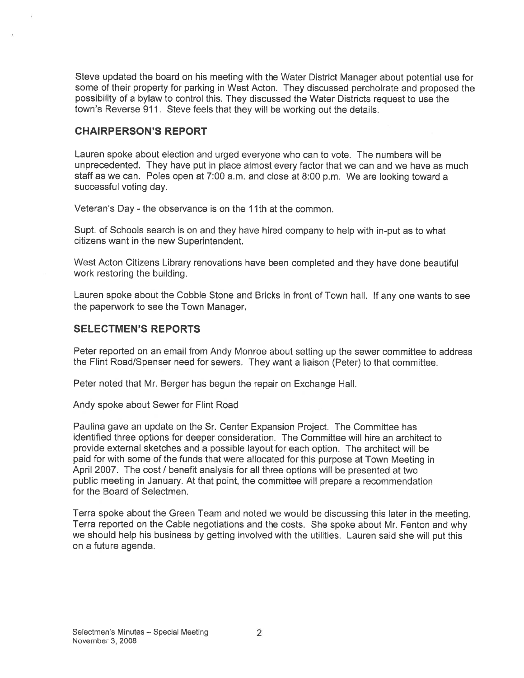Steve updated the board on his meeting with the Water District Manager about potential use for some of their property for parking in West Acton. They discussed percholrate and proposed the possibility of <sup>a</sup> bylaw to control this. They discussed the Water Districts reques<sup>t</sup> to use the town's Reverse 911. Steve feels that they will be working out the details.

#### CHAIRPERSON'S REPORT

Lauren spoke about election and urged everyone who can to vote. The numbers will be unprecedented. They have pu<sup>t</sup> in place almost every factor that we can and we have as much staff as we can. Poles open at 7:00 am. and close at 8:00 p.m. We are looking toward <sup>a</sup> successful voting day.

Veteran's Day - the observance is on the 11th at the common.

Supt. of Schools search is on and they have hired company to help with in-put as to what citizens want in the new Superintendent.

West Acton Citizens Library renovations have been completed and they have done beautiful work restoring the building.

Lauren spoke about the Cobble Stone and Bricks in front of Town hall. If any one wants to see the paperwork to see the Town Manager.

#### SELECTMEN'S REPORTS

Peter reported on an email from Andy Monroe about setting up the sewer committee to address the Flint Road/Spenser need for sewers. They want a liaison (Peter) to that committee.

Peter noted that Mr. Berger has begun the repair on Exchange Hall.

Andy spoke about Sewer for Flint Road

Paulina gave an update on the Sr. Center Expansion Project. The Committee has identified three options for deeper consideration. The Committee will hire an architect to provide external sketches and <sup>a</sup> possible layout for each option. The architect will be paid for with some of the funds that were allocated for this purpose at Town Meeting in April 2007. The cost / benefit analysis for all three options will be presented at two public meeting in January. At that point, the committee will prepare <sup>a</sup> recommendation for the Board of Selectmen.

Terra spoke about the Green Team and noted we would be discussing this later in the meeting. Terra reported on the Cable negotiations and the costs. She spoke about Mr. Fenton and why we should help his business by getting involved with the utilities. Lauren said she will pu<sup>t</sup> this on <sup>a</sup> future agenda.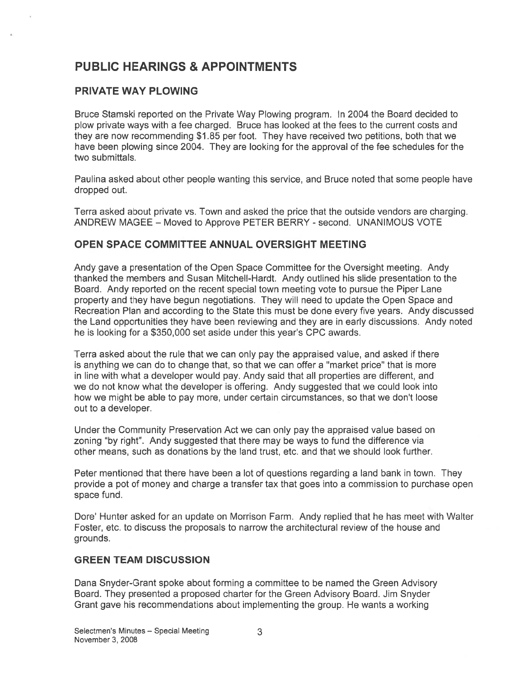# PUBLIC HEARINGS & APPOINTMENTS

# PRIVATE WAY PLOWING

Bruce Stamski reported on the Private Way Plowing program. In 2004 the Board decided to plow private ways with <sup>a</sup> fee charged. Bruce has looked at the fees to the current costs and they are now recommending \$1 .85 per foot. They have received two petitions, both that we have been plowing since 2004. They are looking for the approval of the fee schedules for the two submittals.

Paulina asked about other people wanting this service, and Bruce noted that some people have dropped out.

Terra asked about private vs. Town and asked the price that the outside vendors are charging. ANDREW MAGEE - Moved to Approve PETER BERRY - second. UNANIMOUS VOTE

#### OPEN SPACE COMMITTEE ANNUAL OVERSIGHT MEETING

Andy gave <sup>a</sup> presentation of the Open Space Committee for the Oversight meeting. Andy thanked the members and Susan Mitchell-Hardt. Andy outlined his slide presentation to the Board. Andy reported on the recent special town meeting vote to pursue the Piper Lane property and they have begun negotiations. They will need to update the Open Space and Recreation Plan and according to the State this must be done every five years. Andy discussed the Land opportunities they have been reviewing and they are in early discussions. Andy noted he is looking for <sup>a</sup> \$350,000 set aside under this year's CPC awards.

Terra asked about the rule that we can only pay the appraised value, and asked if there is anything we can do to change that, so that we can offer <sup>a</sup> "market price" that is more in line with what <sup>a</sup> developer would pay. Andy said that all properties are different, and we do not know what the developer is offering. Andy suggested that we could look into how we might be able to pay more, under certain circumstances, so that we don't loose out to <sup>a</sup> developer.

Under the Community Preservation Act we can only pay the appraised value based on zoning "by right". Andy suggested that there may be ways to fund the difference via other means, such as donations by the land trust, etc. and that we should look further.

Peter mentioned that there have been <sup>a</sup> lot of questions regarding <sup>a</sup> land bank in town. They provide <sup>a</sup> po<sup>t</sup> of money and charge <sup>a</sup> transfer tax that goes into <sup>a</sup> commission to purchase open space fund.

Dore' Hunter asked for an update on Morrison Farm. Andy replied that he has meet with Walter Foster, etc. to discuss the proposals to narrow the architectural review of the house and grounds.

## GREEN TEAM DISCUSSION

Dana Snyder-Grant spoke about forming <sup>a</sup> committee to be named the Green Advisory Board. They presented <sup>a</sup> proposed charter for the Green Advisory Board. Jim Snyder Grant gave his recommendations about implementing the group. He wants <sup>a</sup> working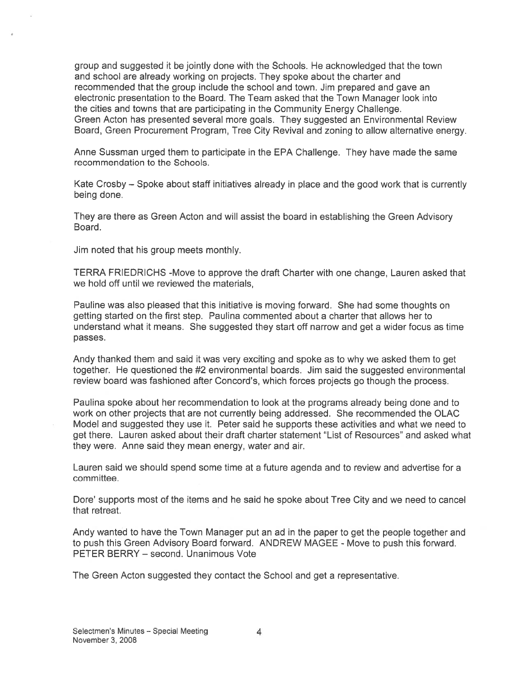group and suggested it be jointly done with the Schools. He acknowledged that the town and school are already working on projects. They spoke about the charter and recommended that the group include the school and town. Jim prepared and gave an electronic presentation to the Board. The Team asked that the Town Manager look into the cities and towns that are participating in the Community Energy Challenge. Green Acton has presented several more goals. They suggested an Environmental Review Board, Green Procurement Program, Tree City Revival and zoning to allow alternative energy.

Anne Sussman urged them to participate in the EPA Challenge. They have made the same recommendation to the Schools.

Kate Crosby — Spoke about staff initiatives already in place and the good work that is currently being done.

They are there as Green Acton and will assist the board in establishing the Green Advisory Board.

Jim noted that his group meets monthly.

TERRA FRIEDRICHS -Move to approve the draft Charter with one change, Lauren asked that we hold off until we reviewed the materials,

Pauline was also pleased that this initiative is moving forward. She had some thoughts on getting started on the first step. Paulina commented about <sup>a</sup> charter that allows her to understand what it means. She suggested they start off narrow and ge<sup>t</sup> <sup>a</sup> wider focus as time passes.

Andy thanked them and said it was very exciting and spoke as to why we asked them to ge<sup>t</sup> together. He questioned the #2 environmental boards. Jim said the suggested environmental review board was fashioned after Concord's, which forces projects go though the process.

Paulina spoke about her recommendation to look at the programs already being done and to work on other projects that are not currently being addressed. She recommended the OLAC Model and suggested they use it. Peter said he supports these activities and what we need to get there. Lauren asked about their draft charter statement "List of Resources" and asked what they were. Anne said they mean energy, water and air.

Lauren said we should spend some time at <sup>a</sup> future agenda and to review and advertise for <sup>a</sup> committee.

Dore' supports most of the items and he said he spoke about Tree City and we need to cancel that retreat.

Andy wanted to have the Town Manager pu<sup>t</sup> an ad in the paper to ge<sup>t</sup> the people together and to push this Green Advisory Board forward. ANDREW MAGEE - Move to push this forward. PETER BERRY — second. Unanimous Vote

The Green Acton suggested they contact the School and ge<sup>t</sup> <sup>a</sup> representative.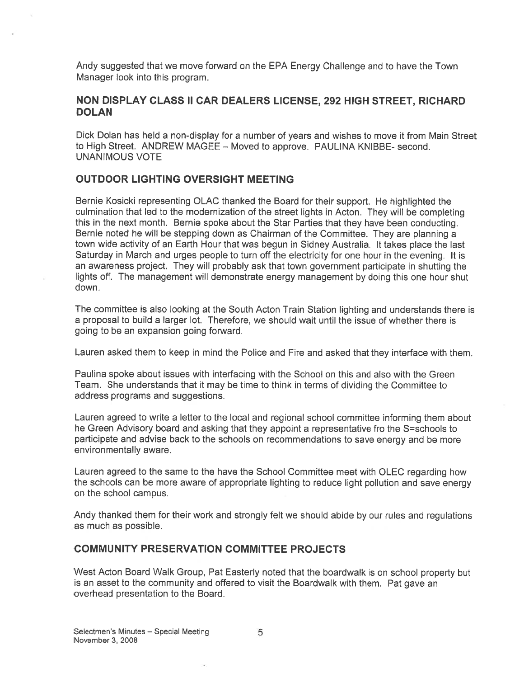Andy suggested that we move forward on the EPA Energy Challenge and to have the Town Manager look into this program.

## NON DISPLAY CLASS II CAR DEALERS LICENSE, 292 HIGH STREET, RICHARD **DOLAN**

Dick Dolan has held <sup>a</sup> non-display for <sup>a</sup> number of years and wishes to move it from Main Street to High Street. ANDREW MAGEE — Moved to approve. PAULINA KNIBBE- second. UNANIMOUS VOTE

## OUTDOOR LIGHTING OVERSIGHT MEETING

Bernie Kosicki representing OLAC thanked the Board for their support. He highlighted the culmination that led to the modernization of the street lights in Acton. They will be completing this in the next month. Bernie spoke about the Star Parties that they have been conducting. Bernie noted he will be stepping down as Chairman of the Committee. They are <sup>p</sup>lanning <sup>a</sup> town wide activity of an Earth Hour that was begun in Sidney Australia. It takes <sup>p</sup>lace the last Saturday in March and urges people to turn off the electricity for one hour in the evening. It is an awareness project. They will probably ask that town governmen<sup>t</sup> participate in shutting the lights off. The managemen<sup>t</sup> will demonstrate energy managemen<sup>t</sup> by doing this one hour shut down.

The committee is also looking at the South Acton Train Station lighting and understands there is <sup>a</sup> proposal to build <sup>a</sup> larger lot. Therefore, we should wait until the issue of whether there is going to be an expansion going forward.

Lauren asked them to keep in mind the Police and Fire and asked that they interface with them.

Paulina spoke about issues with interfacing with the School on this and also with the Green Team. She understands that it may be time to think in terms of dividing the Committee to address programs and suggestions.

Lauren agreed to write <sup>a</sup> letter to the local and regional school committee informing them about he Green Advisory board and asking that they appoint a representative fro the S=schools to participate and advise back to the schools on recommendations to save energy and be more environmentally aware.

Lauren agreed to the same to the have the School Committee meet with OLEC regarding how the schools can be more aware of appropriate lighting to reduce light pollution and save energy on the school campus.

Andy thanked them for their work and strongly felt we should abide by our rules and regulations as much as possible.

#### COMMUNITY PRESERVATION COMMITTEE PROJECTS

West Acton Board Walk Group, Pat Easterly noted that the boardwalk is on school property but is an asset to the community and offered to visit the Boardwalk with them. Pat gave an overhead presentation to the Board.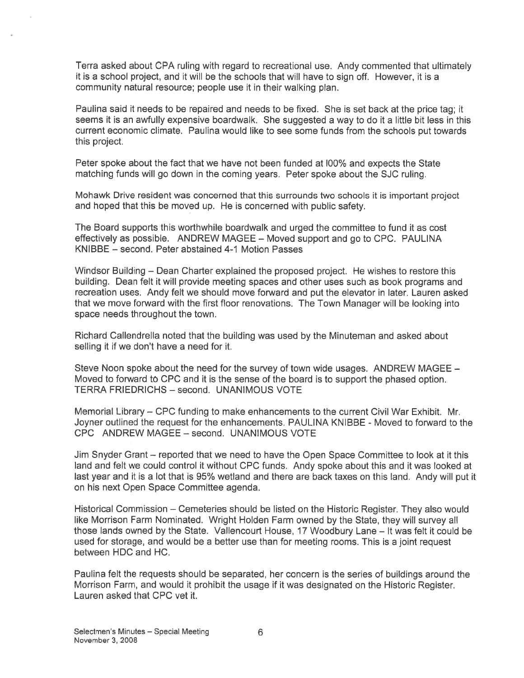Terra asked about CPA ruling with regard to recreational use. Andy commented that ultimately it is <sup>a</sup> school project, and it will be the schools that will have to sign off. However, <sup>t</sup> is <sup>a</sup> community natural resource; people use it in their walking plan.

Paulina said it needs to be repaired and needs to be fixed. She is set back at the price tag; it seems it is an awfully expensive boardwalk. She suggested <sup>a</sup> way to do it <sup>a</sup> little bit less in this current economic climate. Paulina would like to see some funds from the schools pu<sup>t</sup> towards this project.

Peter spoke about the fact that we have not been funded at 100% and expects the State matching funds will go down in the coming years. Peter spoke about the SJC ruling.

Mohawk Drive resident was concerned that this surrounds two schools it is important project and hoped that this be moved up. He is concerned with public safety.

The Board supports this worthwhile boardwalk and urged the committee to fund it as cost effectively as possible. ANDREW MAGEE — Moved suppor<sup>t</sup> and go to CPC. PAULINA KNIBBE — second. Peter abstained 4-1 Motion Passes

Windsor Building — Dean Charter explained the proposed project. He wishes to restore this building. Dean felt it will provide meeting spaces and other uses such as book programs and recreation uses. Andy felt we should move forward and pu<sup>t</sup> the elevator in later. Lauren asked that we move forward with the first floor renovations. The Town Manager will be looking into space needs throughout the town.

Richard Callendrella noted that the building was used by the Minuteman and asked about selling it if we don't have <sup>a</sup> need for it.

Steve Noon spoke about the need for the survey of town wide usages. ANDREW MAGEE — Moved to forward to CPC and it is the sense of the board is to suppor<sup>t</sup> the phased option. TERRA FRIEDRICHS — second. UNANIMOUS VOTE

Memorial Library — CPC funding to make enhancements to the current Civil War Exhibit. Mr. Joyner outlined the reques<sup>t</sup> for the enhancements. PAULINA KNIBBE - Moved to forward to the CPC ANDREW MAGEE — second. UNANIMOUS VOTE

Jim Snyder Grant — reported that we need to have the Open Space Committee to look at it this land and felt we could control it without CPC funds, Andy spoke about this and it was looked at last year and it is <sup>a</sup> lot that is 95% wetland and there are back taxes on this land. Andy will pu<sup>t</sup> it on his next Open Space Committee agenda.

Historical Commission — Cemeteries should be listed on the Historic Register. They also would like Morrison Farm Nominated. Wright Holden Farm owned by the State, they will survey all those lands owned by the State. Vallencourt House, 17 Woodbury Lane — It was felt it could be used for storage, and would be <sup>a</sup> better use than for meeting rooms. This is <sup>a</sup> joint reques<sup>t</sup> between HDC and HC.

Paulina felt the requests should be separated, her concern is the series of buildings around the Morrison Farm, and would it prohibit the usage if it was designated on the Historic Register. Lauren asked that CPC vet it.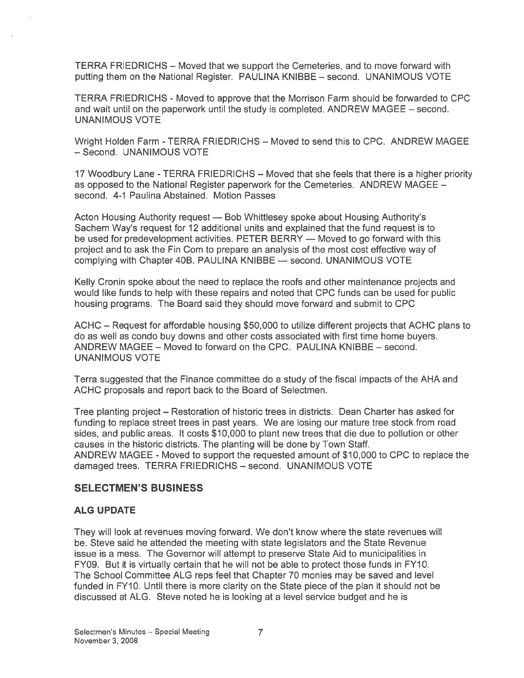TERRA FRIEDRICHS — Moved that we suppor<sup>t</sup> the Cemeteries, and to move forward with putting them on the National Register. PAULINA KNIBBE — second. UNANIMOUS VOTE

TERRA FRIEDRICHS - Moved to approve that the Morrison Farm should be forwarded to CPC and wait until on the paperwork until the study is completed. ANDREW MAGEE — second. UNANIMOUS VOTE

Wright Holden Farm -TERRA FRIEDRICHS — Moved to send this to CPC. ANDREW MAGEE —Second. UNANIMOUS VOTE

17 Woodbury Lane -TERRA FRIEDRICHS — Moved that she feels that there is <sup>a</sup> higher priority as opposed to the National Register paperwork for the Cemeteries. ANDREW MAGEE second. 4-1 Paulina Abstained. Motion Passes

Acton Housing Authority reques<sup>t</sup> — Bob Whittlesey spoke about Housing Authority's Sachem Way's reques<sup>t</sup> for 12 additional units and explained that the fund reques<sup>t</sup> is to be used for predevelopment activities. PETER BERRY — Moved to go forward with this project and to ask the Fin Com to prepare an analysis of the most cost effective way of complying with Chapter 40B. PAULINA KNIBBE — second. UNANIMOUS VOTE

Kelly Cronin spoke about the need to replace the roofs and other maintenance projects and would like funds to help with these repairs and noted that CPC funds can be used for public housing programs. The Board said they should move forward and submit to CPC

ACHC — Request for affordable housing \$50,000 to utilize different projects that ACHC plans to do as well as condo buy downs and other costs associated with first time home buyers. ANDREW MAGEE — Moved to forward on the CPC. PAULINA KNIBBE — second. UNANIMOUS VOTE

Terra suggested that the Finance committee do <sup>a</sup> study of the fiscal impacts of the AHA and ACHC proposals and repor<sup>t</sup> back to the Board of Selectmen.

Tree planting project — Restoration of historic trees in districts. Dean Charter has asked for funding to replace street trees in pas<sup>t</sup> years. We are losing our mature tree stock from road sides, and public areas. It costs \$10,000 to plant new trees that die due to pollution or other causes in the historic districts. The planting will be done by Town Staff. ANDREW MAGEE - Moved to suppor<sup>t</sup> the requested amount of \$10,000 to CPC to replace the damaged trees. TERRA FRIEDRICHS — second. UNANIMOUS VOTE

## SELECTMEN'S BUSINESS

#### ALG UPDATE

They will look at revenues moving forward. We don't know where the state revenues will be. Steve said he attended the meeting with state legislators and the State Revenue issue is <sup>a</sup> mess. The Governor will attempt to preserve State Aid to municipalities in FY09. But it is virtually certain that he will not be able to protect those funds in FY10. The School Committee ALG reps feel that Chapter 70 monies may be saved and level funded in FY10. Until there is more clarity on the State piece of the plan it should not be discussed at ALG. Steve noted he is looking at <sup>a</sup> level service budget and he is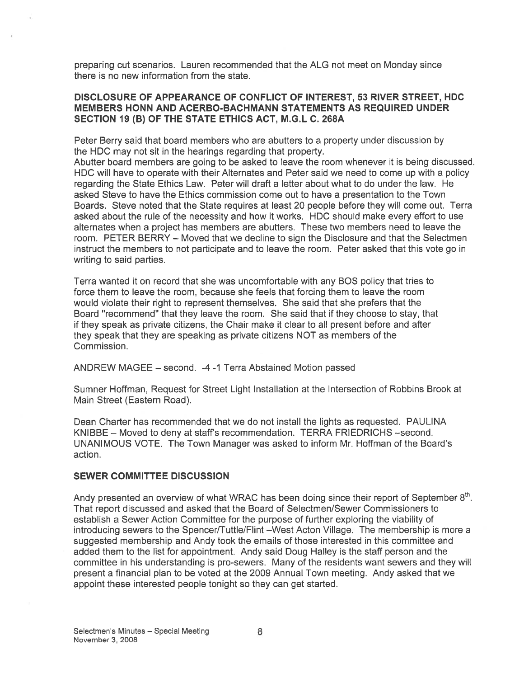preparing cut scenarios. Lauren recommended that the ALG not meet on Monday since there is no new information from the state.

#### DISCLOSURE OF APPEARANCE OF CONFLICT OF INTEREST, 53 RIVER STREET, HOC MEMBERS HONN AND ACERBO-BACHMANN STATEMENTS AS REQUIRED UNDER SECTION 19 (B) OF THE STATE ETHICS ACT, M.G.L C. 268A

Peter Berry said that board members who are abutters to <sup>a</sup> property under discussion by the HDC may not sit in the hearings regarding that property.

Abutter board members are going to be asked to leave the room whenever it is being discussed. HDC will have to operate with their Alternates and Peter said we need to come up with <sup>a</sup> policy regarding the State Ethics Law. Peter will draft <sup>a</sup> letter about what to do under the law. He asked Steve to have the Ethics commission come out to have <sup>a</sup> presentation to the Town Boards. Steve noted that the State requires at least 20 people before they will come out. Terra asked about the rule of the necessity and how it works. HDC should make every effort to use alternates when <sup>a</sup> project has members are abutters. These two members need to leave the room. PETER BERRY — Moved that we decline to sign the Disclosure and that the Selectmen instruct the members to not participate and to leave the room. Peter asked that this vote go in writing to said parties.

Terra wanted it on record that she was uncomfortable with any BOS policy that tries to force them to leave the room, because she feels that forcing them to leave the room would violate their right to represen<sup>t</sup> themselves. She said that she prefers that the Board "recommend" that they leave the room. She said that if they choose to stay, that if they speak as private citizens, the Chair make it clear to all presen<sup>t</sup> before and after they speak that they are speaking as private citizens NOT as members of the Commission.

ANDREW MAGEE — second. -4 -1 Terra Abstained Motion passed

Sumner Hoffman, Request for Street Light Installation at the Intersection of Robbins Brook at Main Street (Eastern Road).

Dean Charter has recommended that we do not install the lights as requested. PAULINA KNIBBE — Moved to deny at staff's recommendation. TERRA FRIEDRICHS —second. UNANIMOUS VOTE. The Town Manager was asked to inform Mr. Hoffman of the Board's action.

#### SEWER COMMITTEE DISCUSSION

Andy presented an overview of what WRAC has been doing since their report of September 8<sup>th</sup>. That repor<sup>t</sup> discussed and asked that the Board of Selectmen/Sewer Commissioners to establish <sup>a</sup> Sewer Action Committee for the purpose of further exploring the viability of introducing sewers to the Spencer/Tuttle/Flint —West Acton Village. The membership is mote <sup>a</sup> suggested membership and Andy took the emails of those interested in this committee and added them to the list for appointment. Andy said Doug Halley is the staff person and the committee in his understanding is pro-sewers. Many of the residents want sewers and they will presen<sup>t</sup> <sup>a</sup> financial plan to be voted at the 2009 Annual Town meeting. Andy asked that we appoint these interested people tonight so they can ge<sup>t</sup> started.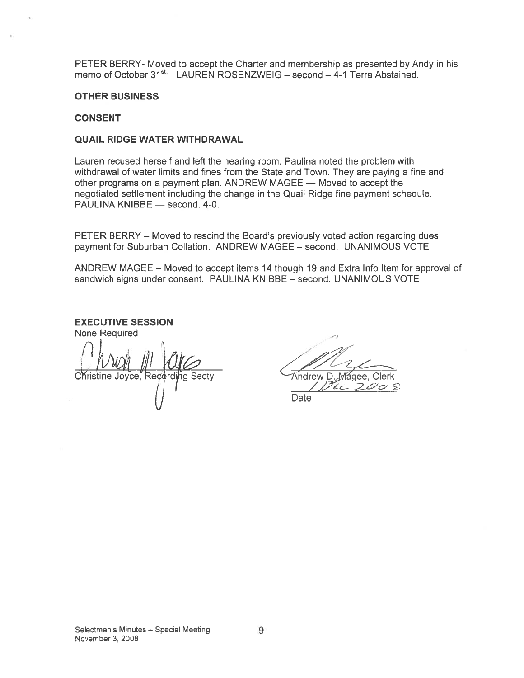PETER BERRY- Moved to accep<sup>t</sup> the Charter and membership as presented by Andy in his memo of October 31<sup>st.</sup> LAUREN ROSENZWEIG - second - 4-1 Terra Abstained.

#### OTHER BUSINESS

#### CONSENT

#### QUAIL RIDGE WATER WITHDRAWAL

Lauren recused herself and left the hearing room. Paulina noted the problem with withdrawal of water limits and fines from the State and Town. They are paying <sup>a</sup> fine and other programs on <sup>a</sup> paymen<sup>t</sup> plan. ANDREW MAGEE — Moved to accep<sup>t</sup> the negotiated settlement including the change in the Quail Ridge fine payment schedule. PAULINA KNIBBE — second. 4-0. - Moved to accept the Charter and membership as presented<br>
er 31<sup>st</sup> LAUREN ROSENZWEIG – second – 4-1 Terra Abstaches and Terra Text<br>
ESS<br>
WATER WITHDRAWAL<br>
herself and fines from the State and Town. They are paying the<br>
d oved to accept the Charter and membership as presented<br>
1<sup>41</sup> LAUREN ROSENZWEIG – second – 4-1 Terra Abstaches<br>
3<br> **IER WITHDRAWAL**<br>
Self and left the hearing room. Paulina noted the problem<br>
limits and fines from the Stat

PETER BERRY – Moved to rescind the Board's previously voted action regarding dues paymen<sup>t</sup> for Suburban Collation. ANDREW MAGEE — second. UNANIMOUS VOTE

ANDREW MAGEE — Moved to accep<sup>t</sup> items 14 though 19 and Extra Info Item for approval of sandwich signs under consent. PAULINA KNIBBE — second. UNANIMOUS VOTE

EXECUTIVE SESSION None Required Christine Joyce, Recording Secty **Andrew D. Magee, Clerk** Christine Joyce, Recording Secty (*j* Date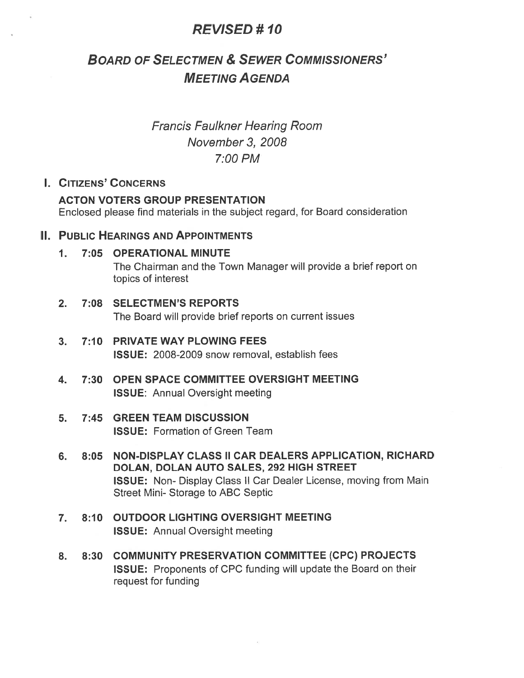# REWSED #10

# BOARD OF SELECTMEN & SEWER COMMISSIONERS' MEETING AGENDA

Francis Faulkner Hearing Room November 3, 2008 7:00 PM

# I. CITIZENS' CONCERNS

#### ACTON VOTERS GROUP PRESENTATION

Enclosed please find materials in the subject regard, for Board consideration

#### II. PUBLIC HEARINGS AND APPOINTMENTS

#### 1. 7:05 OPERATIONAL MINUTE

The Chairman and the Town Manager will provide <sup>a</sup> brief repor<sup>t</sup> on topics of interest

#### 2. 7:08 SELECTMEN'S REPORTS The Board will provide brief reports on current issues

- 3. 7:10 PRIVATE WAY PLOWING FEES ISSUE: 2008-2009 snow removal, establish fees
- 4. 7:30 OPEN SPACE COMMITTEE OVERSIGHT MEETING ISSUE: Annual Oversight meeting

#### 5. 7:45 GREEN TEAM DISCUSSION ISSUE: Formation of Green Team

- 6. 8:05 NON-DISPLAY CLASS II CAR DEALERS APPLICATION, RICHARD DOLAN, DOLAN AUTO SALES, 292 HIGH STREET ISSUE: Non- Display Class II Car Dealer License, moving from Main Street Mini- Storage to ABC Septic
- 7. 8:10 OUTDOOR LIGHTING OVERSIGHT MEETING ISSUE: Annual Oversight meeting
- 8. 8:30 COMMUNITY PRESERVATION COMMITTEE (CPC) PROJECTS ISSUE: Proponents of CPC funding will update the Board on their reques<sup>t</sup> for funding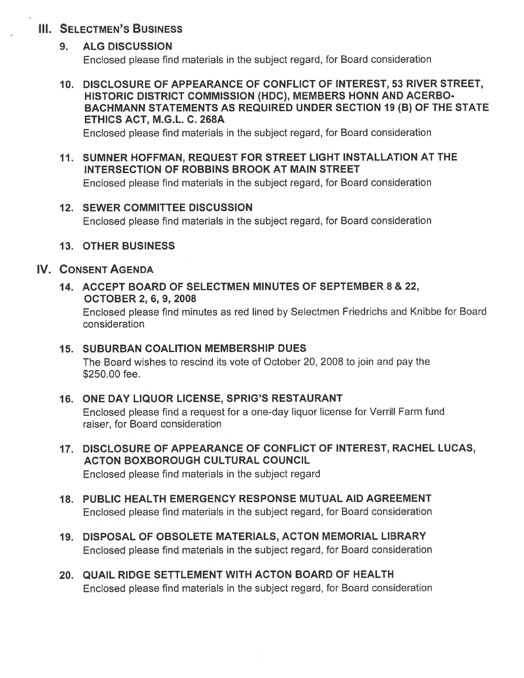# **III. SELECTMEN'S BUSINESS**

## 9. ALG DISCUSSION

Enclosed <sup>p</sup>lease find materials in the subject regard, for Board consideration

# 10. DISCLOSURE OF APPEARANCE OF CONFLICT OF INTEREST, 53 RIVER STREET, HISTORIC DISTRICT COMMISSION (HDC), MEMBERS HONN AND ACERBO BACHMANN STATEMENTS AS REQUIRED UNDER SECTION 19 (B) OF THE STATE ETHICS ACT, M.G.L. C. 268A

Enclosed please find materials in the subject regard, for Board consideration

11. SUMNER HOFFMAN, REQUEST FOR STREET LIGHT INSTALLATION AT THE INTERSECTION OF ROBBINS BROOK AT MAIN STREET Enclosed <sup>p</sup>lease find materials in the subject regard, for Board consideration

## 12. SEWER COMMITTEE DISCUSSION Enclosed <sup>p</sup>lease find materials in the subject regard, for Board consideration

# 13. OTHER BUSINESS

# IV. CONSENT AGENDA

## 14. ACCEPT BOARD OF SELECTMEN MINUTES OF SEPTEMBER 8 & 22, OCTOBER 2, 6, 9, 2008

Enclosed <sup>p</sup>lease find minutes as red lined by Selectmen Friedrichs and Knibbe for Board consideration

# 15. SUBURBAN COALITION MEMBERSHIP DUES

The Board wishes to rescind its vote of October 20, 2008 to join and pay the \$250.00 fee.

# 16. ONE DAY LIQUOR LICENSE, SPRIG'S RESTAURANT

Enclosed <sup>p</sup>lease find <sup>a</sup> reques<sup>t</sup> for <sup>a</sup> one-day liquor license for Verrill Farm fund raiser, for Board consideration

- 17. DISCLOSURE OF APPEARANCE OF CONFLICT OF INTEREST, RACHEL LUCAS, ACTON BOXBOROUGH CULTURAL COUNCIL Enclosed please find materials in the subject regard
- 18. PUBLIC HEALTH EMERGENCY RESPONSE MUTUAL AID AGREEMENT Enclosed please find materials in the subject regard, for Board consideration
- 19. DISPOSAL OF OBSOLETE MATERIALS, ACTON MEMORIAL LIBRARY Enclosed please find materials in the subject regard, for Board consideration
- 20. QUAIL RIDGE SETTLEMENT WITH ACTON BOARD OF HEALTH Enclosed <sup>p</sup>lease find materials in the subject regard, for Board consideration